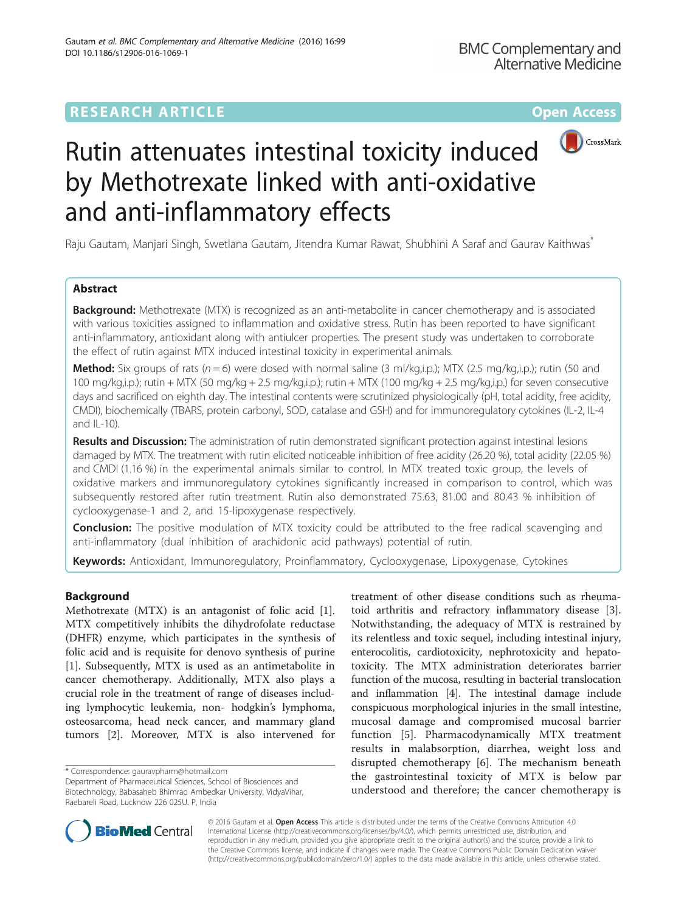# **RESEARCH ARTICLE Example 2014 12:30 The Contract of Contract ACCESS**



# Rutin attenuates intestinal toxicity induced by Methotrexate linked with anti-oxidative and anti-inflammatory effects

Raju Gautam, Manjari Singh, Swetlana Gautam, Jitendra Kumar Rawat, Shubhini A Saraf and Gaurav Kaithwas<sup>\*</sup>

# Abstract

**Background:** Methotrexate (MTX) is recognized as an anti-metabolite in cancer chemotherapy and is associated with various toxicities assigned to inflammation and oxidative stress. Rutin has been reported to have significant anti-inflammatory, antioxidant along with antiulcer properties. The present study was undertaken to corroborate the effect of rutin against MTX induced intestinal toxicity in experimental animals.

**Method:** Six groups of rats ( $n = 6$ ) were dosed with normal saline (3 ml/kg,i.p.); MTX (2.5 mg/kg,i.p.); rutin (50 and 100 mg/kg,i.p.); rutin + MTX (50 mg/kg + 2.5 mg/kg,i.p.); rutin + MTX (100 mg/kg + 2.5 mg/kg,i.p.) for seven consecutive days and sacrificed on eighth day. The intestinal contents were scrutinized physiologically (pH, total acidity, free acidity, CMDI), biochemically (TBARS, protein carbonyl, SOD, catalase and GSH) and for immunoregulatory cytokines (IL-2, IL-4 and IL-10).

Results and Discussion: The administration of rutin demonstrated significant protection against intestinal lesions damaged by MTX. The treatment with rutin elicited noticeable inhibition of free acidity (26.20 %), total acidity (22.05 %) and CMDI (1.16 %) in the experimental animals similar to control. In MTX treated toxic group, the levels of oxidative markers and immunoregulatory cytokines significantly increased in comparison to control, which was subsequently restored after rutin treatment. Rutin also demonstrated 75.63, 81.00 and 80.43 % inhibition of cyclooxygenase-1 and 2, and 15-lipoxygenase respectively.

**Conclusion:** The positive modulation of MTX toxicity could be attributed to the free radical scavenging and anti-inflammatory (dual inhibition of arachidonic acid pathways) potential of rutin.

Keywords: Antioxidant, Immunoregulatory, Proinflammatory, Cyclooxygenase, Lipoxygenase, Cytokines

# Background

Methotrexate (MTX) is an antagonist of folic acid [\[1](#page-5-0)]. MTX competitively inhibits the dihydrofolate reductase (DHFR) enzyme, which participates in the synthesis of folic acid and is requisite for denovo synthesis of purine [[1\]](#page-5-0). Subsequently, MTX is used as an antimetabolite in cancer chemotherapy. Additionally, MTX also plays a crucial role in the treatment of range of diseases including lymphocytic leukemia, non- hodgkin's lymphoma, osteosarcoma, head neck cancer, and mammary gland tumors [\[2](#page-5-0)]. Moreover, MTX is also intervened for

\* Correspondence: [gauravpharm@hotmail.com](mailto:gauravpharm@hotmail.com)

Department of Pharmaceutical Sciences, School of Biosciences and Biotechnology, Babasaheb Bhimrao Ambedkar University, VidyaVihar, Raebareli Road, Lucknow 226 025U. P, India

treatment of other disease conditions such as rheumatoid arthritis and refractory inflammatory disease [\[3](#page-5-0)]. Notwithstanding, the adequacy of MTX is restrained by its relentless and toxic sequel, including intestinal injury, enterocolitis, cardiotoxicity, nephrotoxicity and hepatotoxicity. The MTX administration deteriorates barrier function of the mucosa, resulting in bacterial translocation and inflammation [[4](#page-5-0)]. The intestinal damage include conspicuous morphological injuries in the small intestine, mucosal damage and compromised mucosal barrier function [[5\]](#page-5-0). Pharmacodynamically MTX treatment results in malabsorption, diarrhea, weight loss and disrupted chemotherapy [\[6](#page-5-0)]. The mechanism beneath the gastrointestinal toxicity of MTX is below par understood and therefore; the cancer chemotherapy is



© 2016 Gautam et al. Open Access This article is distributed under the terms of the Creative Commons Attribution 4.0 International License [\(http://creativecommons.org/licenses/by/4.0/](http://creativecommons.org/licenses/by/4.0/)), which permits unrestricted use, distribution, and reproduction in any medium, provided you give appropriate credit to the original author(s) and the source, provide a link to the Creative Commons license, and indicate if changes were made. The Creative Commons Public Domain Dedication waiver [\(http://creativecommons.org/publicdomain/zero/1.0/](http://creativecommons.org/publicdomain/zero/1.0/)) applies to the data made available in this article, unless otherwise stated.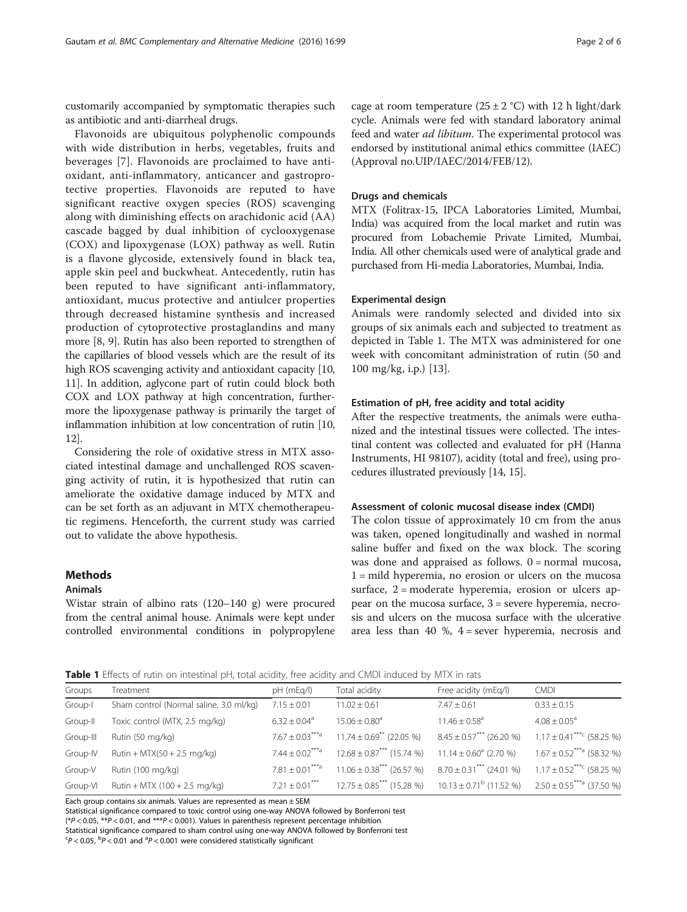<span id="page-1-0"></span>customarily accompanied by symptomatic therapies such as antibiotic and anti-diarrheal drugs.

Flavonoids are ubiquitous polyphenolic compounds with wide distribution in herbs, vegetables, fruits and beverages [[7\]](#page-5-0). Flavonoids are proclaimed to have antioxidant, anti-inflammatory, anticancer and gastroprotective properties. Flavonoids are reputed to have significant reactive oxygen species (ROS) scavenging along with diminishing effects on arachidonic acid (AA) cascade bagged by dual inhibition of cyclooxygenase (COX) and lipoxygenase (LOX) pathway as well. Rutin is a flavone glycoside, extensively found in black tea, apple skin peel and buckwheat. Antecedently, rutin has been reputed to have significant anti-inflammatory, antioxidant, mucus protective and antiulcer properties through decreased histamine synthesis and increased production of cytoprotective prostaglandins and many more [[8, 9\]](#page-5-0). Rutin has also been reported to strengthen of the capillaries of blood vessels which are the result of its high ROS scavenging activity and antioxidant capacity [[10](#page-5-0), [11](#page-5-0)]. In addition, aglycone part of rutin could block both COX and LOX pathway at high concentration, furthermore the lipoxygenase pathway is primarily the target of inflammation inhibition at low concentration of rutin [[10](#page-5-0), [12](#page-5-0)].

Considering the role of oxidative stress in MTX associated intestinal damage and unchallenged ROS scavenging activity of rutin, it is hypothesized that rutin can ameliorate the oxidative damage induced by MTX and can be set forth as an adjuvant in MTX chemotherapeutic regimens. Henceforth, the current study was carried out to validate the above hypothesis.

## **Methods**

## Animals

Wistar strain of albino rats (120–140 g) were procured from the central animal house. Animals were kept under controlled environmental conditions in polypropylene

cage at room temperature  $(25 \pm 2 \degree C)$  with 12 h light/dark cycle. Animals were fed with standard laboratory animal feed and water *ad libitum*. The experimental protocol was endorsed by institutional animal ethics committee (IAEC) (Approval no.UIP/IAEC/2014/FEB/12).

## Drugs and chemicals

MTX (Folitrax-15, IPCA Laboratories Limited, Mumbai, India) was acquired from the local market and rutin was procured from Lobachemie Private Limited, Mumbai, India. All other chemicals used were of analytical grade and purchased from Hi-media Laboratories, Mumbai, India.

## Experimental design

Animals were randomly selected and divided into six groups of six animals each and subjected to treatment as depicted in Table 1. The MTX was administered for one week with concomitant administration of rutin (50 and 100 mg/kg, i.p.) [\[13\]](#page-5-0).

## Estimation of pH, free acidity and total acidity

After the respective treatments, the animals were euthanized and the intestinal tissues were collected. The intestinal content was collected and evaluated for pH (Hanna Instruments, HI 98107), acidity (total and free), using procedures illustrated previously [[14](#page-5-0), [15\]](#page-5-0).

## Assessment of colonic mucosal disease index (CMDI)

The colon tissue of approximately 10 cm from the anus was taken, opened longitudinally and washed in normal saline buffer and fixed on the wax block. The scoring was done and appraised as follows.  $0 = normal$  mucosa, 1 = mild hyperemia, no erosion or ulcers on the mucosa surface, 2 = moderate hyperemia, erosion or ulcers appear on the mucosa surface, 3 = severe hyperemia, necrosis and ulcers on the mucosa surface with the ulcerative area less than 40 %,  $4 =$  sever hyperemia, necrosis and

Table 1 Effects of rutin on intestinal pH, total acidity, free acidity and CMDI induced by MTX in rats

| Groups    | Treatment                               | pH (mEq/l)                     | Total acidity                                                                                 | Free acidity (mEq/l)                                              | <b>CMDI</b>                               |
|-----------|-----------------------------------------|--------------------------------|-----------------------------------------------------------------------------------------------|-------------------------------------------------------------------|-------------------------------------------|
| Group-I   | Sham control (Normal saline, 3.0 ml/kg) | $7.15 \pm 0.01$                | $11.02 \pm 0.61$                                                                              | $7.47 \pm 0.61$                                                   | $0.33 \pm 0.15$                           |
| Group-II  | Toxic control (MTX, 2.5 mg/kg)          | $6.32 \pm 0.04$ <sup>a</sup>   | $15.06 \pm 0.80$ <sup>a</sup>                                                                 | $11.46 \pm 0.58$ <sup>a</sup>                                     | $4.08 \pm 0.05^a$                         |
| Group-III | Rutin (50 mg/kg)                        | $7.67 + 0.03***$               | $11.74 \pm 0.69$ <sup>**</sup> (22.05 %)                                                      | $8.45 \pm 0.57$ <sup>***</sup> (26.20 %)                          | $1.17 \pm 0.41$ <sup>***c</sup> (58.25 %) |
| Group-IV  | Rutin + $MTX(50 + 2.5$ mg/kg)           | $7.44 + 0.02***$               | $12.68 \pm 0.87$ <sup>***</sup> (15.74 %)                                                     | $11.14 \pm 0.60^{\circ}$ (2.70 %) $1.67 \pm 0.52^{***}$ (58.32 %) |                                           |
| Group-V   | Rutin (100 mg/kg)                       | $7.81 + 0.01***$ <sup>1</sup>  | $11.06 \pm 0.38$ <sup>***</sup> (26.57 %)                                                     | $8.70 \pm 0.31$ <sup>***</sup> (24.01 %)                          | $1.17 \pm 0.52$ <sup>***c</sup> (58.25 %) |
| Group-VI  | Rutin + MTX $(100 + 2.5 \text{ mg/kg})$ | $7.21 \pm 0.01$ <sup>***</sup> | $12.75 \pm 0.85***$ (15.28 %) $10.13 \pm 0.71^{\circ}$ (11.52 %) $2.50 \pm 0.55***$ (37.50 %) |                                                                   |                                           |
|           |                                         |                                |                                                                                               |                                                                   |                                           |

Each group contains six animals. Values are represented as mean  $\pm$  SEM

Statistical significance compared to toxic control using one-way ANOVA followed by Bonferroni test

(\*P < 0.05, \*\*P < 0.01, and \*\*\*P < 0.001). Values in parenthesis represent percentage inhibition

Statistical significance compared to sham control using one-way ANOVA followed by Bonferroni test

 $\text{C}_P < 0.05$ ,  $\text{D}_P < 0.01$  and  $\text{D}_P < 0.001$  were considered statistically significant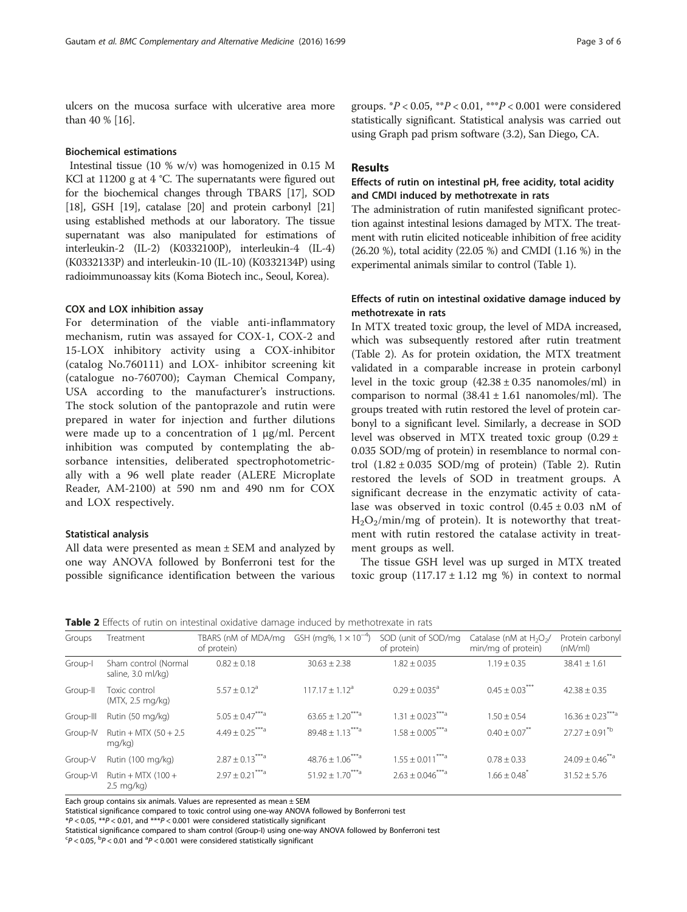ulcers on the mucosa surface with ulcerative area more than 40 % [\[16\]](#page-5-0).

## Biochemical estimations

Intestinal tissue (10 % w/v) was homogenized in 0.15 M KCl at 11200 g at 4 °C. The supernatants were figured out for the biochemical changes through TBARS [[17](#page-5-0)], SOD [[18](#page-5-0)], GSH [\[19](#page-5-0)], catalase [\[20\]](#page-5-0) and protein carbonyl [\[21](#page-5-0)] using established methods at our laboratory. The tissue supernatant was also manipulated for estimations of interleukin-2 (IL-2) (K0332100P), interleukin-4 (IL-4) (K0332133P) and interleukin-10 (IL-10) (K0332134P) using radioimmunoassay kits (Koma Biotech inc., Seoul, Korea).

## COX and LOX inhibition assay

For determination of the viable anti-inflammatory mechanism, rutin was assayed for COX-1, COX-2 and 15-LOX inhibitory activity using a COX-inhibitor (catalog No.760111) and LOX- inhibitor screening kit (catalogue no-760700); Cayman Chemical Company, USA according to the manufacturer's instructions. The stock solution of the pantoprazole and rutin were prepared in water for injection and further dilutions were made up to a concentration of 1  $\mu$ g/ml. Percent inhibition was computed by contemplating the absorbance intensities, deliberated spectrophotometrically with a 96 well plate reader (ALERE Microplate Reader, AM-2100) at 590 nm and 490 nm for COX and LOX respectively.

## Statistical analysis

All data were presented as mean ± SEM and analyzed by one way ANOVA followed by Bonferroni test for the possible significance identification between the various

groups.  $*P < 0.05$ ,  $*P < 0.01$ ,  $* * P < 0.001$  were considered statistically significant. Statistical analysis was carried out using Graph pad prism software (3.2), San Diego, CA.

## Results

# Effects of rutin on intestinal pH, free acidity, total acidity and CMDI induced by methotrexate in rats

The administration of rutin manifested significant protection against intestinal lesions damaged by MTX. The treatment with rutin elicited noticeable inhibition of free acidity (26.20 %), total acidity (22.05 %) and CMDI (1.16 %) in the experimental animals similar to control (Table [1](#page-1-0)).

## Effects of rutin on intestinal oxidative damage induced by methotrexate in rats

In MTX treated toxic group, the level of MDA increased, which was subsequently restored after rutin treatment (Table 2). As for protein oxidation, the MTX treatment validated in a comparable increase in protein carbonyl level in the toxic group  $(42.38 \pm 0.35 \text{ nanomoles/ml})$  in comparison to normal  $(38.41 \pm 1.61$  nanomoles/ml). The groups treated with rutin restored the level of protein carbonyl to a significant level. Similarly, a decrease in SOD level was observed in MTX treated toxic group  $(0.29 \pm 1.00)$ 0.035 SOD/mg of protein) in resemblance to normal control  $(1.82 \pm 0.035$  SOD/mg of protein) (Table 2). Rutin restored the levels of SOD in treatment groups. A significant decrease in the enzymatic activity of catalase was observed in toxic control (0.45 ± 0.03 nM of  $H_2O_2/m$ in/mg of protein). It is noteworthy that treatment with rutin restored the catalase activity in treatment groups as well.

The tissue GSH level was up surged in MTX treated toxic group  $(117.17 \pm 1.12 \text{ mg }%)$  in context to normal

|  |  | <b>Table 2</b> Effects of rutin on intestinal oxidative damage induced by methotrexate in rats |
|--|--|------------------------------------------------------------------------------------------------|
|  |  |                                                                                                |

| Groups    | Treatment                                   | TBARS (nM of MDA/mg<br>of protein) | GSH (mg%, $1 \times 10^{-4}$ )      | SOD (unit of SOD/mg)<br>of protein) | Catalase (nM at H <sub>2</sub> O <sub>2</sub> /<br>min/mg of protein) | Protein carbonyl<br>(nM/ml)      |
|-----------|---------------------------------------------|------------------------------------|-------------------------------------|-------------------------------------|-----------------------------------------------------------------------|----------------------------------|
| Group-I   | Sham control (Normal<br>saline, 3.0 ml/kg)  | $0.82 \pm 0.18$                    | $30.63 \pm 2.38$                    | $1.82 \pm 0.035$                    | $1.19 + 0.35$                                                         | $38.41 \pm 1.61$                 |
| Group-II  | Toxic control<br>(MTX, 2.5 mg/kg)           | $5.57 + 0.12a$                     | $117.17 + 1.12a$                    | $0.29 + 0.035$ <sup>a</sup>         | $0.45 \pm 0.03$ <sup>***</sup>                                        | $42.38 \pm 0.35$                 |
| Group-III | Rutin (50 mg/kg)                            | $5.05 \pm 0.47$ <sup>***a</sup>    | $63.65 \pm 1.20$ <sup>***a</sup>    | $1.31 \pm 0.023$ <sup>***a</sup>    | $1.50 + 0.54$                                                         | $16.36 \pm 0.23$ <sup>***a</sup> |
| Group-IV  | Rutin + MTX $(50 + 2.5)$<br>mg/kg)          | $4.49 \pm 0.25$ <sup>***a</sup>    | $89.48 \pm 1.13$ <sup>***a</sup>    | $1.58 \pm 0.005$ <sup>***a</sup>    | $0.40 \pm 0.07$ **                                                    | $27.27 \pm 0.91^{\text{*b}}$     |
| Group-V   | Rutin (100 mg/kg)                           | $2.87 \pm 0.13$ <sup>***a</sup>    | $48.76 \pm 1.06***$ <sup>***a</sup> | $1.55 + 0.011***$                   | $0.78 \pm 0.33$                                                       | $24.09 \pm 0.46$ <sup>**a</sup>  |
| Group-VI  | Rutin + MTX $(100 +$<br>$2.5 \text{ mg/kg}$ | $2.97 \pm 0.21$ <sup>***a</sup>    | $51.92 \pm 1.70***$ <sup>***a</sup> | $2.63 \pm 0.046$ <sup>***a</sup>    | $1.66 \pm 0.48$                                                       | $31.52 \pm 5.76$                 |

Each group contains six animals. Values are represented as mean  $\pm$  SEM

Statistical significance compared to toxic control using one-way ANOVA followed by Bonferroni test

 $*P < 0.05$ ,  $*P < 0.01$ , and  $*P < 0.001$  were considered statistically significant

Statistical significance compared to sham control (Group-I) using one-way ANOVA followed by Bonferroni test

 $\text{C}_P < 0.05$ ,  $\text{D}_P < 0.01$  and  $\text{D}_P < 0.001$  were considered statistically significant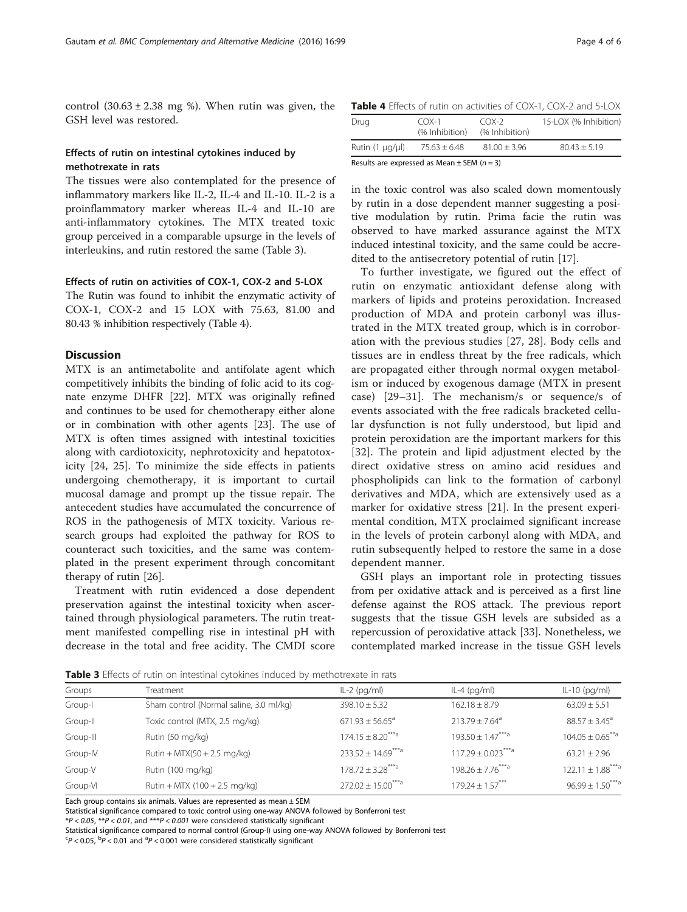control  $(30.63 \pm 2.38 \text{ mg} \%)$ . When rutin was given, the GSH level was restored.

## Effects of rutin on intestinal cytokines induced by methotrexate in rats

The tissues were also contemplated for the presence of inflammatory markers like IL-2, IL-4 and IL-10. IL-2 is a proinflammatory marker whereas IL-4 and IL-10 are anti-inflammatory cytokines. The MTX treated toxic group perceived in a comparable upsurge in the levels of interleukins, and rutin restored the same (Table 3).

## Effects of rutin on activities of COX-1, COX-2 and 5-LOX

The Rutin was found to inhibit the enzymatic activity of COX-1, COX-2 and 15 LOX with 75.63, 81.00 and 80.43 % inhibition respectively (Table 4).

## **Discussion**

MTX is an antimetabolite and antifolate agent which competitively inhibits the binding of folic acid to its cognate enzyme DHFR [\[22](#page-5-0)]. MTX was originally refined and continues to be used for chemotherapy either alone or in combination with other agents [\[23\]](#page-5-0). The use of MTX is often times assigned with intestinal toxicities along with cardiotoxicity, nephrotoxicity and hepatotoxicity [[24](#page-5-0), [25\]](#page-5-0). To minimize the side effects in patients undergoing chemotherapy, it is important to curtail mucosal damage and prompt up the tissue repair. The antecedent studies have accumulated the concurrence of ROS in the pathogenesis of MTX toxicity. Various research groups had exploited the pathway for ROS to counteract such toxicities, and the same was contemplated in the present experiment through concomitant therapy of rutin [\[26](#page-5-0)].

Treatment with rutin evidenced a dose dependent preservation against the intestinal toxicity when ascertained through physiological parameters. The rutin treatment manifested compelling rise in intestinal pH with decrease in the total and free acidity. The CMDI score

Table 4 Effects of rutin on activities of COX-1, COX-2 and 5-LOX

| Drug                                            | $COX-1$<br>(% Inhibition) | $COX-2$<br>(% Inhibition) | 15-LOX (% Inhibition) |  |  |
|-------------------------------------------------|---------------------------|---------------------------|-----------------------|--|--|
| Rutin $(1 \mu q/\mu)$                           | $75.63 + 6.48$            | $81.00 \pm 3.96$          | $80.43 + 5.19$        |  |  |
| Results are expressed as Mean $\pm$ SEM (n = 3) |                           |                           |                       |  |  |

in the toxic control was also scaled down momentously by rutin in a dose dependent manner suggesting a positive modulation by rutin. Prima facie the rutin was observed to have marked assurance against the MTX induced intestinal toxicity, and the same could be accredited to the antisecretory potential of rutin [[17\]](#page-5-0).

To further investigate, we figured out the effect of rutin on enzymatic antioxidant defense along with markers of lipids and proteins peroxidation. Increased production of MDA and protein carbonyl was illustrated in the MTX treated group, which is in corroboration with the previous studies [\[27](#page-5-0), [28](#page-5-0)]. Body cells and tissues are in endless threat by the free radicals, which are propagated either through normal oxygen metabolism or induced by exogenous damage (MTX in present case) [[29](#page-5-0)–[31](#page-5-0)]. The mechanism/s or sequence/s of events associated with the free radicals bracketed cellular dysfunction is not fully understood, but lipid and protein peroxidation are the important markers for this [[32\]](#page-5-0). The protein and lipid adjustment elected by the direct oxidative stress on amino acid residues and phospholipids can link to the formation of carbonyl derivatives and MDA, which are extensively used as a marker for oxidative stress [[21\]](#page-5-0). In the present experimental condition, MTX proclaimed significant increase in the levels of protein carbonyl along with MDA, and rutin subsequently helped to restore the same in a dose dependent manner.

GSH plays an important role in protecting tissues from per oxidative attack and is perceived as a first line defense against the ROS attack. The previous report suggests that the tissue GSH levels are subsided as a repercussion of peroxidative attack [\[33\]](#page-5-0). Nonetheless, we contemplated marked increase in the tissue GSH levels

Table 3 Effects of rutin on intestinal cytokines induced by methotrexate in rats

| Groups    | Treatment                               | $IL-2$ (pg/ml)                    | $IL-4$ (pg/ml)                    | $IL-10$ (pg/ml)                  |
|-----------|-----------------------------------------|-----------------------------------|-----------------------------------|----------------------------------|
| Group-I   | Sham control (Normal saline, 3.0 ml/kg) | $398.10 \pm 5.32$                 | $162.18 \pm 8.79$                 | $63.09 \pm 5.51$                 |
| Group-II  | Toxic control (MTX, 2.5 mg/kg)          | $671.93 \pm 56.65^{\circ}$        | $213.79 \pm 7.64$ <sup>a</sup>    | $88.57 \pm 3.45^{\circ}$         |
| Group-III | Rutin (50 mg/kg)                        | $174.15 \pm 8.20$ <sup>***a</sup> | $193.50 \pm 1.47***$ <sup>a</sup> | $104.05 \pm 0.65$ <sup>**a</sup> |
| Group-IV  | Rutin + $MTX(50 + 2.5$ mg/kg)           | $233.52 \pm 14.69^{***a}$         | $117.29 \pm 0.023***$             | $63.21 \pm 2.96$                 |
| Group-V   | Rutin (100 mg/kg)                       | $178.72 \pm 3.28$ <sup>***a</sup> | $198.26 \pm 7.76***a$             | $122.11 \pm 1.88***$             |
| Group-VI  | Rutin + MTX (100 + 2.5 mg/kg)           | $272.02 \pm 15.00^{***a}$         | $179.24 \pm 1.57***$              | $96.99 + 1.50^{***}$             |

Each group contains six animals. Values are represented as mean  $\pm$  SEM

Statistical significance compared to toxic control using one-way ANOVA followed by Bonferroni test

 $*P < 0.05$ ,  $*P < 0.01$ , and  $*P < 0.001$  were considered statistically significant

Statistical significance compared to normal control (Group-I) using one-way ANOVA followed by Bonferroni test

 $\text{C}_P < 0.05$ ,  $\text{D}_P < 0.01$  and  $\text{D}_P < 0.001$  were considered statistically significant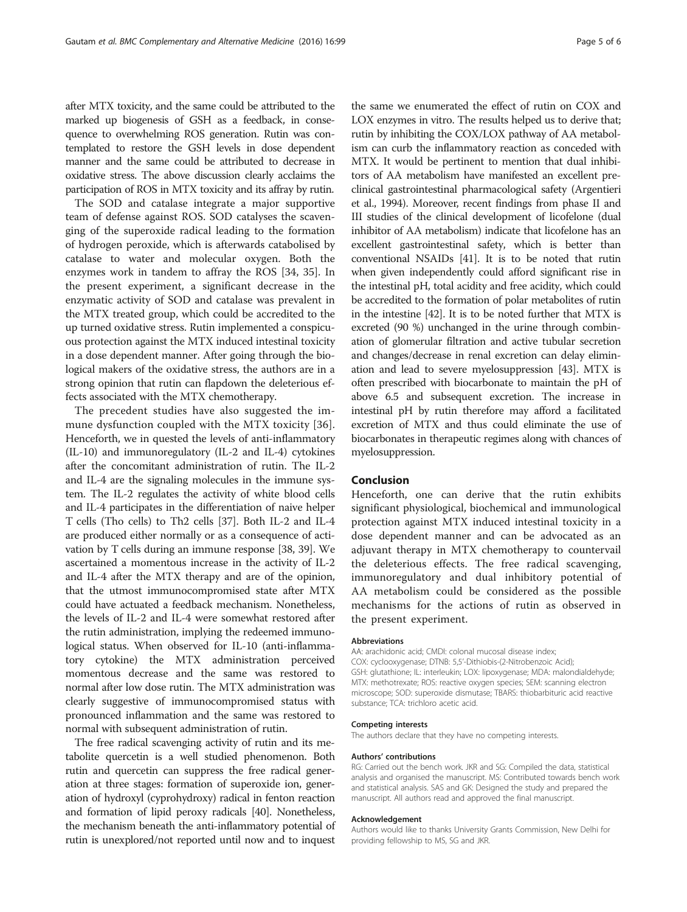after MTX toxicity, and the same could be attributed to the marked up biogenesis of GSH as a feedback, in consequence to overwhelming ROS generation. Rutin was contemplated to restore the GSH levels in dose dependent manner and the same could be attributed to decrease in oxidative stress. The above discussion clearly acclaims the participation of ROS in MTX toxicity and its affray by rutin.

The SOD and catalase integrate a major supportive team of defense against ROS. SOD catalyses the scavenging of the superoxide radical leading to the formation of hydrogen peroxide, which is afterwards catabolised by catalase to water and molecular oxygen. Both the enzymes work in tandem to affray the ROS [\[34, 35\]](#page-5-0). In the present experiment, a significant decrease in the enzymatic activity of SOD and catalase was prevalent in the MTX treated group, which could be accredited to the up turned oxidative stress. Rutin implemented a conspicuous protection against the MTX induced intestinal toxicity in a dose dependent manner. After going through the biological makers of the oxidative stress, the authors are in a strong opinion that rutin can flapdown the deleterious effects associated with the MTX chemotherapy.

The precedent studies have also suggested the immune dysfunction coupled with the MTX toxicity [[36](#page-5-0)]. Henceforth, we in quested the levels of anti-inflammatory (IL-10) and immunoregulatory (IL-2 and IL-4) cytokines after the concomitant administration of rutin. The IL-2 and IL-4 are the signaling molecules in the immune system. The IL-2 regulates the activity of white blood cells and IL-4 participates in the differentiation of naive helper T cells (Tho cells) to Th2 cells [\[37\]](#page-5-0). Both IL-2 and IL-4 are produced either normally or as a consequence of activation by T cells during an immune response [\[38, 39](#page-5-0)]. We ascertained a momentous increase in the activity of IL-2 and IL-4 after the MTX therapy and are of the opinion, that the utmost immunocompromised state after MTX could have actuated a feedback mechanism. Nonetheless, the levels of IL-2 and IL-4 were somewhat restored after the rutin administration, implying the redeemed immunological status. When observed for IL-10 (anti-inflammatory cytokine) the MTX administration perceived momentous decrease and the same was restored to normal after low dose rutin. The MTX administration was clearly suggestive of immunocompromised status with pronounced inflammation and the same was restored to normal with subsequent administration of rutin.

The free radical scavenging activity of rutin and its metabolite quercetin is a well studied phenomenon. Both rutin and quercetin can suppress the free radical generation at three stages: formation of superoxide ion, generation of hydroxyl (cyprohydroxy) radical in fenton reaction and formation of lipid peroxy radicals [\[40\]](#page-5-0). Nonetheless, the mechanism beneath the anti-inflammatory potential of rutin is unexplored/not reported until now and to inquest

the same we enumerated the effect of rutin on COX and LOX enzymes in vitro. The results helped us to derive that; rutin by inhibiting the COX/LOX pathway of AA metabolism can curb the inflammatory reaction as conceded with MTX. It would be pertinent to mention that dual inhibitors of AA metabolism have manifested an excellent preclinical gastrointestinal pharmacological safety (Argentieri et al., 1994). Moreover, recent findings from phase II and III studies of the clinical development of licofelone (dual inhibitor of AA metabolism) indicate that licofelone has an excellent gastrointestinal safety, which is better than conventional NSAIDs [\[41\]](#page-5-0). It is to be noted that rutin when given independently could afford significant rise in the intestinal pH, total acidity and free acidity, which could be accredited to the formation of polar metabolites of rutin in the intestine [\[42\]](#page-5-0). It is to be noted further that MTX is excreted (90 %) unchanged in the urine through combination of glomerular filtration and active tubular secretion and changes/decrease in renal excretion can delay elimination and lead to severe myelosuppression [\[43\]](#page-5-0). MTX is often prescribed with biocarbonate to maintain the pH of above 6.5 and subsequent excretion. The increase in intestinal pH by rutin therefore may afford a facilitated excretion of MTX and thus could eliminate the use of biocarbonates in therapeutic regimes along with chances of myelosuppression.

## Conclusion

Henceforth, one can derive that the rutin exhibits significant physiological, biochemical and immunological protection against MTX induced intestinal toxicity in a dose dependent manner and can be advocated as an adjuvant therapy in MTX chemotherapy to countervail the deleterious effects. The free radical scavenging, immunoregulatory and dual inhibitory potential of AA metabolism could be considered as the possible mechanisms for the actions of rutin as observed in the present experiment.

#### Abbreviations

AA: arachidonic acid; CMDI: colonal mucosal disease index; COX: cyclooxygenase; DTNB: 5,5'-Dithiobis-(2-Nitrobenzoic Acid); GSH: glutathione; IL: interleukin; LOX: lipoxygenase; MDA: malondialdehyde; MTX: methotrexate; ROS: reactive oxygen species; SEM: scanning electron microscope; SOD: superoxide dismutase; TBARS: thiobarbituric acid reactive substance; TCA: trichloro acetic acid.

#### Competing interests

The authors declare that they have no competing interests.

#### Authors' contributions

RG: Carried out the bench work. JKR and SG: Compiled the data, statistical analysis and organised the manuscript. MS: Contributed towards bench work and statistical analysis. SAS and GK: Designed the study and prepared the manuscript. All authors read and approved the final manuscript.

#### Acknowledgement

Authors would like to thanks University Grants Commission, New Delhi for providing fellowship to MS, SG and JKR.